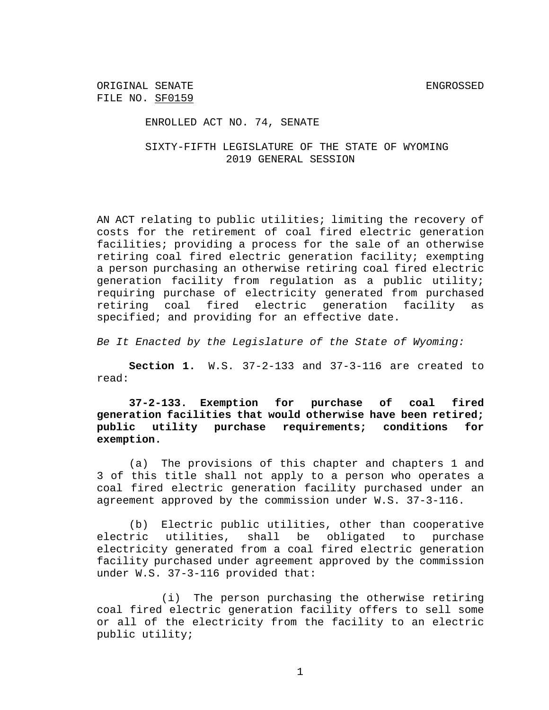ENROLLED ACT NO. 74, SENATE

SIXTY-FIFTH LEGISLATURE OF THE STATE OF WYOMING 2019 GENERAL SESSION

AN ACT relating to public utilities; limiting the recovery of costs for the retirement of coal fired electric generation facilities; providing a process for the sale of an otherwise retiring coal fired electric generation facility; exempting a person purchasing an otherwise retiring coal fired electric generation facility from regulation as a public utility; requiring purchase of electricity generated from purchased retiring coal fired electric generation facility as specified; and providing for an effective date.

*Be It Enacted by the Legislature of the State of Wyoming:*

**Section 1.** W.S. 37-2-133 and 37-3-116 are created to read:

**37-2-133. Exemption for purchase of coal fired generation facilities that would otherwise have been retired; public utility purchase requirements; conditions for exemption.**

(a) The provisions of this chapter and chapters 1 and 3 of this title shall not apply to a person who operates a coal fired electric generation facility purchased under an agreement approved by the commission under W.S. 37-3-116.

(b) Electric public utilities, other than cooperative electric utilities, shall be obligated to purchase electricity generated from a coal fired electric generation facility purchased under agreement approved by the commission under W.S. 37-3-116 provided that:

(i) The person purchasing the otherwise retiring coal fired electric generation facility offers to sell some or all of the electricity from the facility to an electric public utility;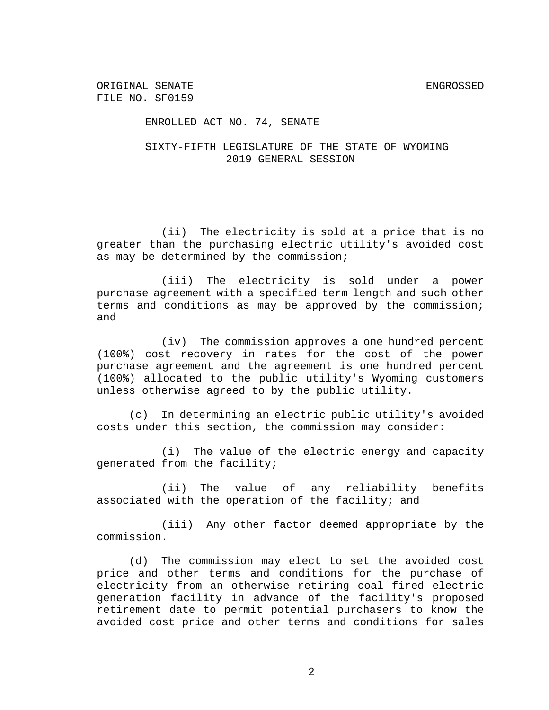### ENROLLED ACT NO. 74, SENATE

## SIXTY-FIFTH LEGISLATURE OF THE STATE OF WYOMING 2019 GENERAL SESSION

(ii) The electricity is sold at a price that is no greater than the purchasing electric utility's avoided cost as may be determined by the commission;

(iii) The electricity is sold under a power purchase agreement with a specified term length and such other terms and conditions as may be approved by the commission; and

(iv) The commission approves a one hundred percent (100%) cost recovery in rates for the cost of the power purchase agreement and the agreement is one hundred percent (100%) allocated to the public utility's Wyoming customers unless otherwise agreed to by the public utility.

(c) In determining an electric public utility's avoided costs under this section, the commission may consider:

(i) The value of the electric energy and capacity generated from the facility;

(ii) The value of any reliability benefits associated with the operation of the facility; and

(iii) Any other factor deemed appropriate by the commission.

(d) The commission may elect to set the avoided cost price and other terms and conditions for the purchase of electricity from an otherwise retiring coal fired electric generation facility in advance of the facility's proposed retirement date to permit potential purchasers to know the avoided cost price and other terms and conditions for sales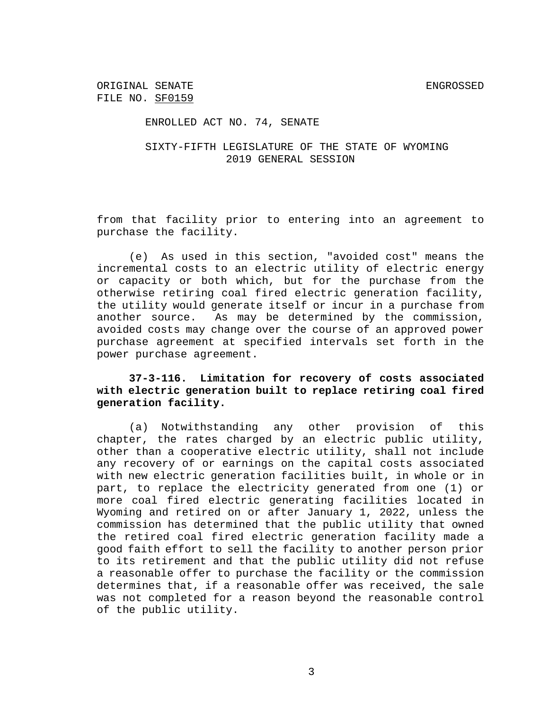### ENROLLED ACT NO. 74, SENATE

## SIXTY-FIFTH LEGISLATURE OF THE STATE OF WYOMING 2019 GENERAL SESSION

from that facility prior to entering into an agreement to purchase the facility.

(e) As used in this section, "avoided cost" means the incremental costs to an electric utility of electric energy or capacity or both which, but for the purchase from the otherwise retiring coal fired electric generation facility, the utility would generate itself or incur in a purchase from another source. As may be determined by the commission, avoided costs may change over the course of an approved power purchase agreement at specified intervals set forth in the power purchase agreement.

# **37-3-116. Limitation for recovery of costs associated with electric generation built to replace retiring coal fired generation facility.**

(a) Notwithstanding any other provision of this chapter, the rates charged by an electric public utility, other than a cooperative electric utility, shall not include any recovery of or earnings on the capital costs associated with new electric generation facilities built, in whole or in part, to replace the electricity generated from one (1) or more coal fired electric generating facilities located in Wyoming and retired on or after January 1, 2022, unless the commission has determined that the public utility that owned the retired coal fired electric generation facility made a good faith effort to sell the facility to another person prior to its retirement and that the public utility did not refuse a reasonable offer to purchase the facility or the commission determines that, if a reasonable offer was received, the sale was not completed for a reason beyond the reasonable control of the public utility.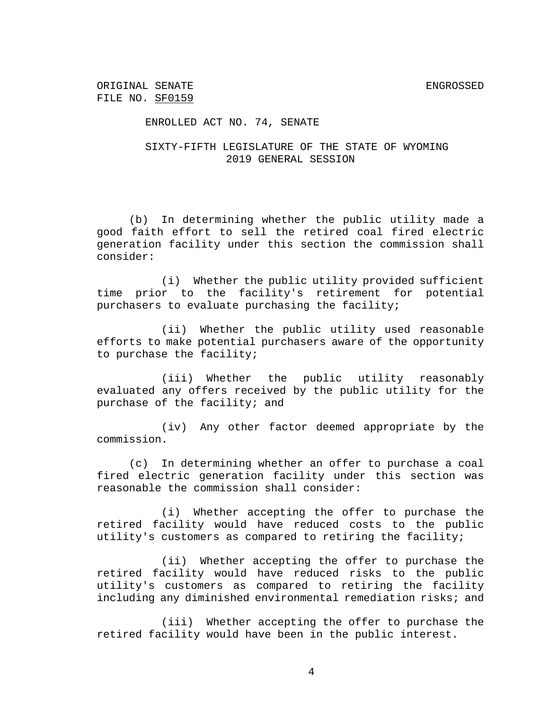#### ENROLLED ACT NO. 74, SENATE

## SIXTY-FIFTH LEGISLATURE OF THE STATE OF WYOMING 2019 GENERAL SESSION

(b) In determining whether the public utility made a good faith effort to sell the retired coal fired electric generation facility under this section the commission shall consider:

(i) Whether the public utility provided sufficient time prior to the facility's retirement for potential purchasers to evaluate purchasing the facility;

(ii) Whether the public utility used reasonable efforts to make potential purchasers aware of the opportunity to purchase the facility;

(iii) Whether the public utility reasonably evaluated any offers received by the public utility for the purchase of the facility; and

(iv) Any other factor deemed appropriate by the commission.

(c) In determining whether an offer to purchase a coal fired electric generation facility under this section was reasonable the commission shall consider:

(i) Whether accepting the offer to purchase the retired facility would have reduced costs to the public utility's customers as compared to retiring the facility;

(ii) Whether accepting the offer to purchase the retired facility would have reduced risks to the public utility's customers as compared to retiring the facility including any diminished environmental remediation risks; and

(iii) Whether accepting the offer to purchase the retired facility would have been in the public interest.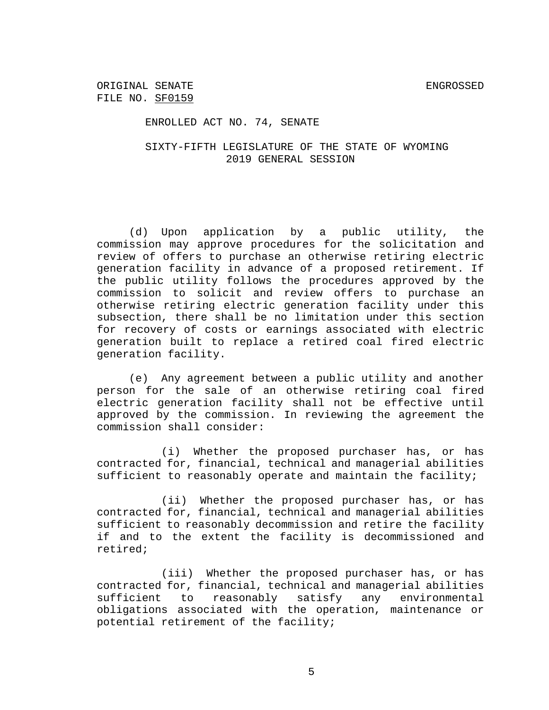ENROLLED ACT NO. 74, SENATE

SIXTY-FIFTH LEGISLATURE OF THE STATE OF WYOMING 2019 GENERAL SESSION

(d) Upon application by a public utility, the commission may approve procedures for the solicitation and review of offers to purchase an otherwise retiring electric generation facility in advance of a proposed retirement. If the public utility follows the procedures approved by the commission to solicit and review offers to purchase an otherwise retiring electric generation facility under this subsection, there shall be no limitation under this section for recovery of costs or earnings associated with electric generation built to replace a retired coal fired electric generation facility.

(e) Any agreement between a public utility and another person for the sale of an otherwise retiring coal fired electric generation facility shall not be effective until approved by the commission. In reviewing the agreement the commission shall consider:

(i) Whether the proposed purchaser has, or has contracted for, financial, technical and managerial abilities sufficient to reasonably operate and maintain the facility;

(ii) Whether the proposed purchaser has, or has contracted for, financial, technical and managerial abilities sufficient to reasonably decommission and retire the facility if and to the extent the facility is decommissioned and retired;

(iii) Whether the proposed purchaser has, or has contracted for, financial, technical and managerial abilities sufficient to reasonably satisfy any environmental obligations associated with the operation, maintenance or potential retirement of the facility;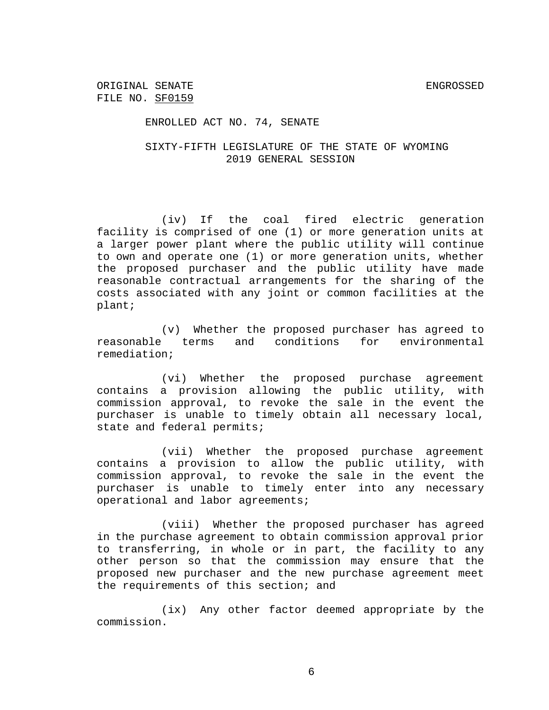ENROLLED ACT NO. 74, SENATE

## SIXTY-FIFTH LEGISLATURE OF THE STATE OF WYOMING 2019 GENERAL SESSION

(iv) If the coal fired electric generation facility is comprised of one (1) or more generation units at a larger power plant where the public utility will continue to own and operate one (1) or more generation units, whether the proposed purchaser and the public utility have made reasonable contractual arrangements for the sharing of the costs associated with any joint or common facilities at the plant;

(v) Whether the proposed purchaser has agreed to reasonable terms and conditions for environmental remediation;

(vi) Whether the proposed purchase agreement contains a provision allowing the public utility, with commission approval, to revoke the sale in the event the purchaser is unable to timely obtain all necessary local, state and federal permits;

(vii) Whether the proposed purchase agreement contains a provision to allow the public utility, with commission approval, to revoke the sale in the event the purchaser is unable to timely enter into any necessary operational and labor agreements;

(viii) Whether the proposed purchaser has agreed in the purchase agreement to obtain commission approval prior to transferring, in whole or in part, the facility to any other person so that the commission may ensure that the proposed new purchaser and the new purchase agreement meet the requirements of this section; and

(ix) Any other factor deemed appropriate by the commission.